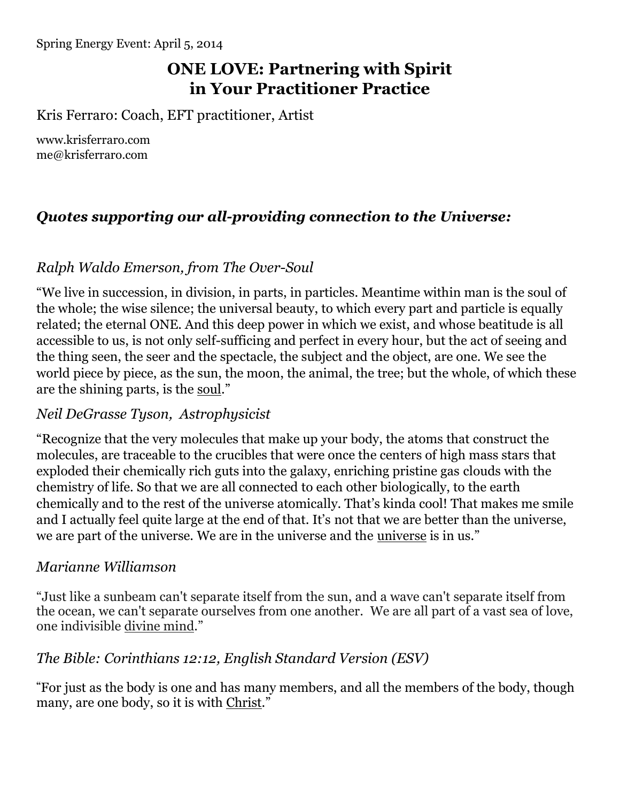# **ONE LOVE: Partnering with Spirit in Your Practitioner Practice**

Kris Ferraro: Coach, EFT practitioner, Artist

[www.krisferraro.com](http://www.krisferraro.com/) [me@krisferraro.com](mailto:me@krisferraro.com)

# *Quotes supporting our all-providing connection to the Universe:*

#### *Ralph Waldo Emerson, from The Over-Soul*

"We live in succession, in division, in parts, in particles. Meantime within man is the soul of the whole; the wise silence; the universal beauty, to which every part and particle is equally related; the eternal ONE. And this deep power in which we exist, and whose beatitude is all accessible to us, is not only self-sufficing and perfect in every hour, but the act of seeing and the thing seen, the seer and the spectacle, the subject and the object, are one. We see the world piece by piece, as the sun, the moon, the animal, the tree; but the whole, of which these are the shining parts, is the soul."

#### *Neil DeGrasse Tyson, Astrophysicist*

"Recognize that the very molecules that make up your body, the atoms that construct the molecules, are traceable to the crucibles that were once the centers of high mass stars that exploded their chemically rich guts into the galaxy, enriching pristine gas clouds with the chemistry of life. So that we are all connected to each other biologically, to the earth chemically and to the rest of the universe atomically. That's kinda cool! That makes me smile and I actually feel quite large at the end of that. It's not that we are better than the universe, we are part of the universe. We are in the universe and the universe is in us."

#### *Marianne Williamson*

"Just like a sunbeam can't separate itself from the sun, and a wave can't separate itself from the ocean, we can't separate ourselves from one another. We are all part of a vast sea of love, one indivisible divine mind."

#### *The Bible: Corinthians 12:12, English Standard Version (ESV)*

**"**For just as the body is one and has many members, and all the members of the body, though many, are one body, so it is with Christ."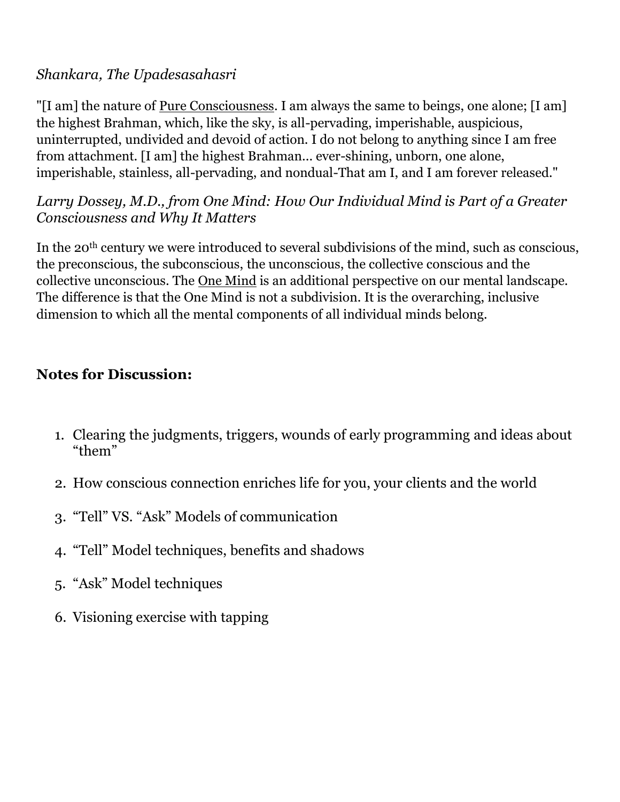## *Shankara, The Upadesasahasri*

"[I am] the nature of Pure Consciousness. I am always the same to beings, one alone; [I am] the highest Brahman, which, like the sky, is all-pervading, imperishable, auspicious, uninterrupted, undivided and devoid of action. I do not belong to anything since I am free from attachment. [I am] the highest Brahman... ever-shining, unborn, one alone, imperishable, stainless, all-pervading, and nondual-That am I, and I am forever released."

## *Larry Dossey, M.D., from One Mind: How Our Individual Mind is Part of a Greater Consciousness and Why It Matters*

In the 20<sup>th</sup> century we were introduced to several subdivisions of the mind, such as conscious, the preconscious, the subconscious, the unconscious, the collective conscious and the collective unconscious. The One Mind is an additional perspective on our mental landscape. The difference is that the One Mind is not a subdivision. It is the overarching, inclusive dimension to which all the mental components of all individual minds belong.

# **Notes for Discussion:**

- 1. Clearing the judgments, triggers, wounds of early programming and ideas about "them"
- 2. How conscious connection enriches life for you, your clients and the world
- 3. "Tell" VS. "Ask" Models of communication
- 4. "Tell" Model techniques, benefits and shadows
- 5. "Ask" Model techniques
- 6. Visioning exercise with tapping